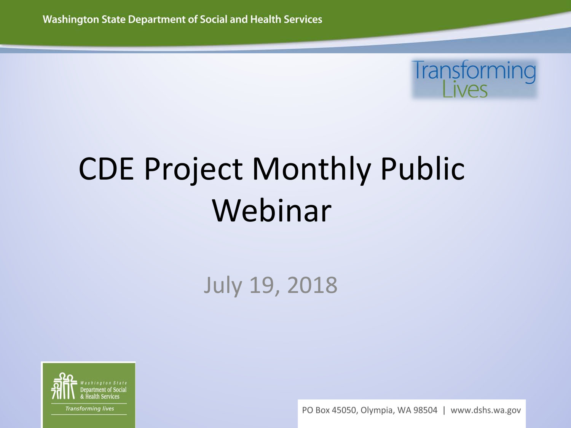

### CDE Project Monthly Public Webinar

#### July 19, 2018



PO Box 45050, Olympia, WA 98504 | www.dshs.wa.gov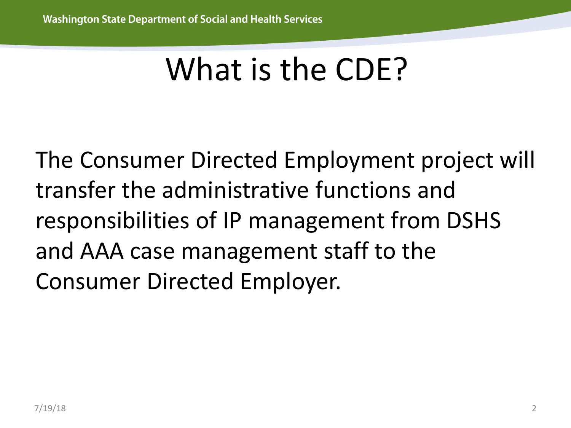### What is the CDE?

The Consumer Directed Employment project will transfer the administrative functions and responsibilities of IP management from DSHS and AAA case management staff to the Consumer Directed Employer.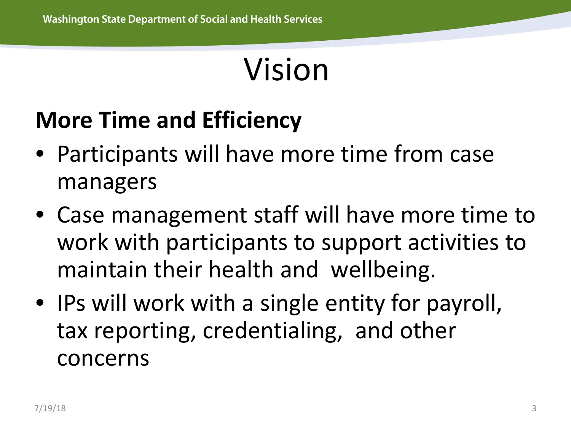### Vision

#### **More Time and Efficiency**

- Participants will have more time from case managers
- Case management staff will have more time to work with participants to support activities to maintain their health and wellbeing.
- IPs will work with a single entity for payroll, tax reporting, credentialing, and other concerns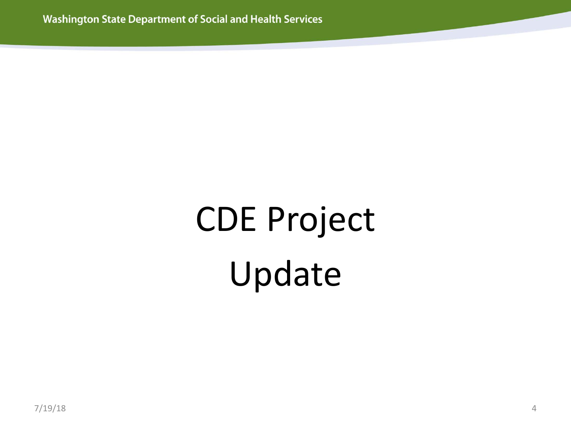# CDE Project Update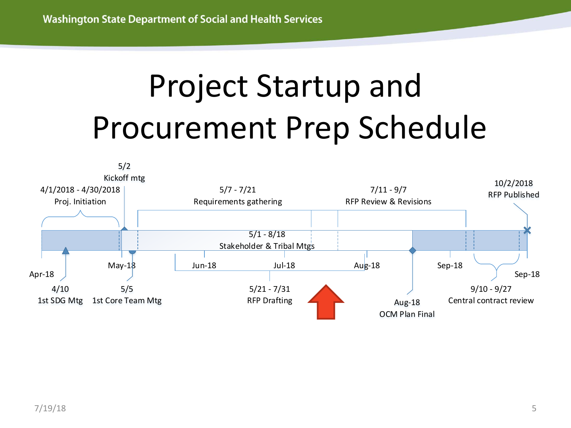## Project Startup and Procurement Prep Schedule

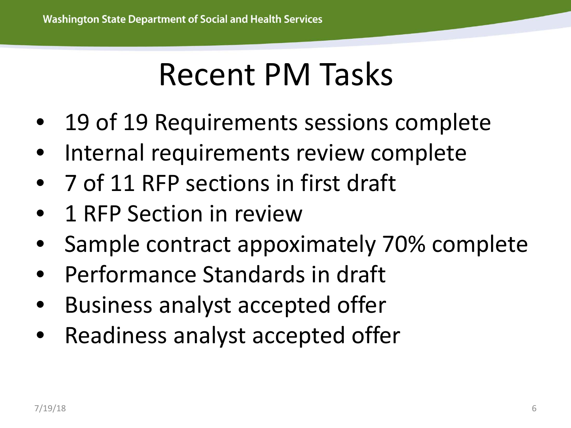#### Recent PM Tasks

- 19 of 19 Requirements sessions complete
- Internal requirements review complete
- 7 of 11 RFP sections in first draft
- 1 RFP Section in review
- Sample contract appoximately 70% complete
- Performance Standards in draft
- Business analyst accepted offer
- Readiness analyst accepted offer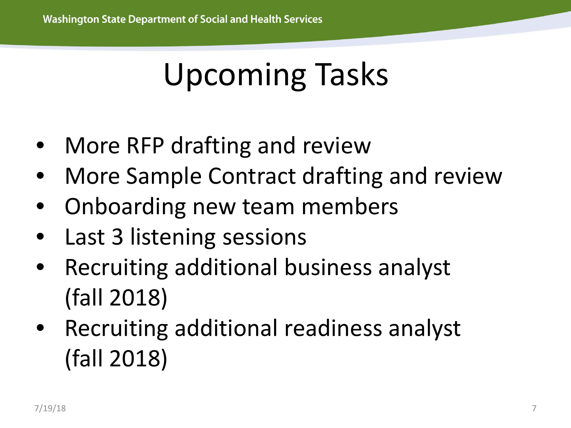### Upcoming Tasks

- More RFP drafting and review
- More Sample Contract drafting and review
- Onboarding new team members
- Last 3 listening sessions
- Recruiting additional business analyst (fall 2018)
- Recruiting additional readiness analyst (fall 2018)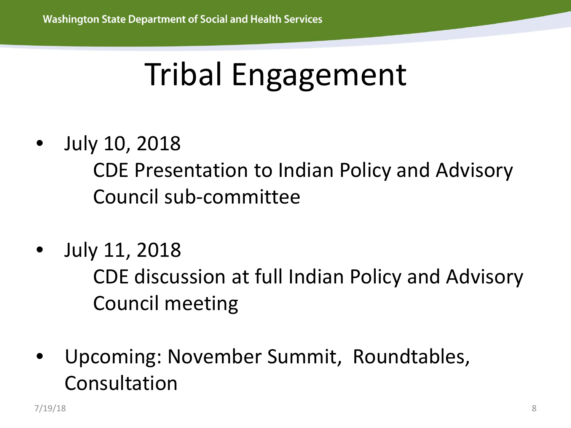### Tribal Engagement

• July 10, 2018

CDE Presentation to Indian Policy and Advisory Council sub-committee

• July 11, 2018

CDE discussion at full Indian Policy and Advisory Council meeting

• Upcoming: November Summit, Roundtables, Consultation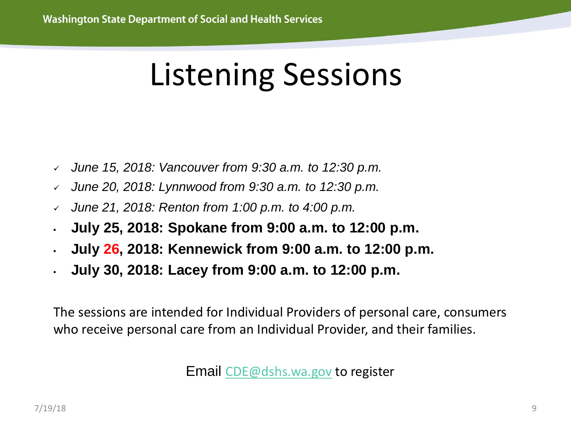### Listening Sessions

- *June 15, 2018: Vancouver from 9:30 a.m. to 12:30 p.m.*
- *June 20, 2018: Lynnwood from 9:30 a.m. to 12:30 p.m.*
- *June 21, 2018: Renton from 1:00 p.m. to 4:00 p.m.*
- **July 25, 2018: Spokane from 9:00 a.m. to 12:00 p.m.**
- **July 26, 2018: Kennewick from 9:00 a.m. to 12:00 p.m.**
- **July 30, 2018: Lacey from 9:00 a.m. to 12:00 p.m.**

The sessions are intended for Individual Providers of personal care, consumers who receive personal care from an Individual Provider, and their families.

Email [CDE@dshs.wa.gov](mailto:CDE@dshs.wa.gov) to register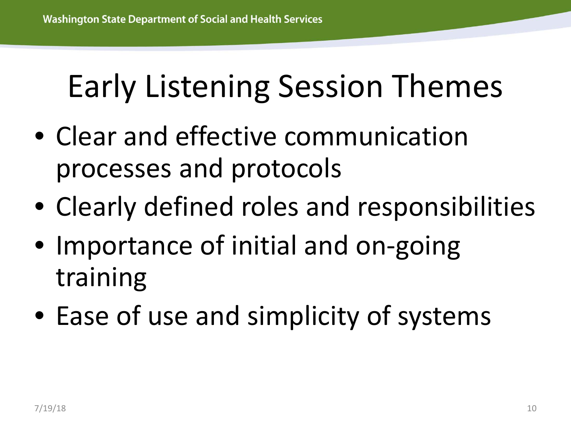### Early Listening Session Themes

- Clear and effective communication processes and protocols
- Clearly defined roles and responsibilities
- Importance of initial and on-going training
- Ease of use and simplicity of systems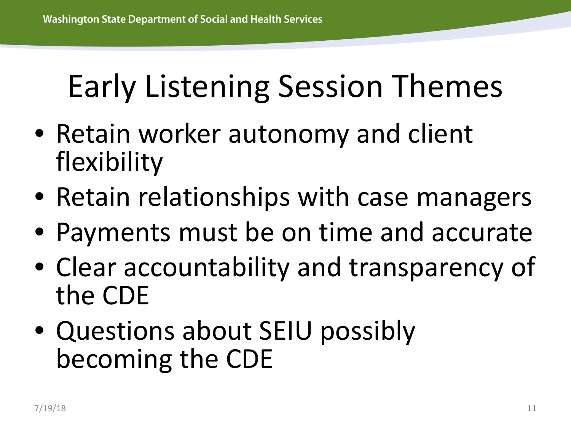### Early Listening Session Themes

- Retain worker autonomy and client flexibility
- Retain relationships with case managers
- Payments must be on time and accurate
- Clear accountability and transparency of the CDE
- Questions about SEIU possibly becoming the CDE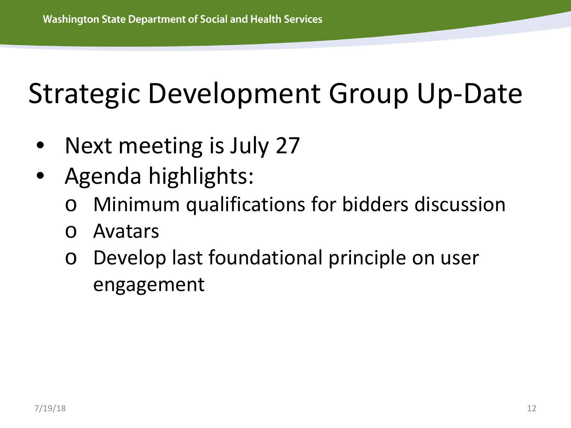#### Strategic Development Group Up-Date

- Next meeting is July 27
- Agenda highlights:
	- Minimum qualifications for bidders discussion
	- o Avatars
	- Develop last foundational principle on user engagement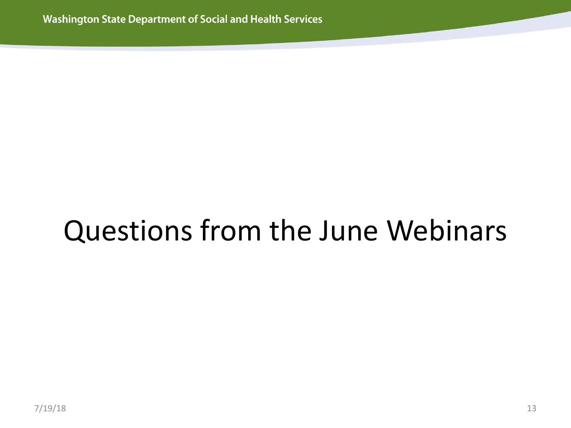### Questions from the June Webinars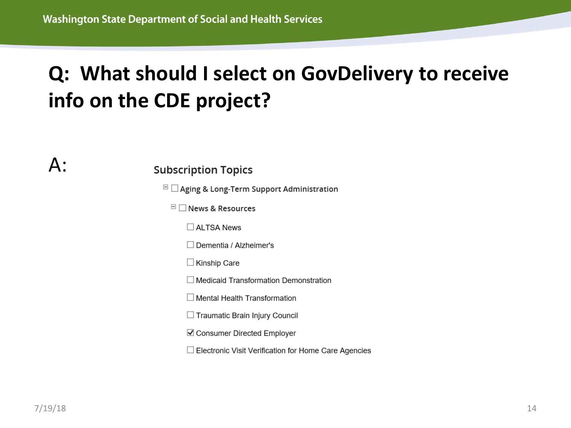#### **Q: What should I select on GovDelivery to receive info on the CDE project?**

 $\mathsf{A}$ :

#### **Subscription Topics**

 $\Box$  Aging & Long-Term Support Administration

 $\Box$  News & Resources

 $\Box$  ALTSA News

 $\Box$  Dementia / Alzheimer's

 $\Box$  Kinship Care

 $\Box$  Medicaid Transformation Demonstration

 $\Box$  Mental Health Transformation

□ Traumatic Brain Injury Council

☑ Consumer Directed Employer

□ Electronic Visit Verification for Home Care Agencies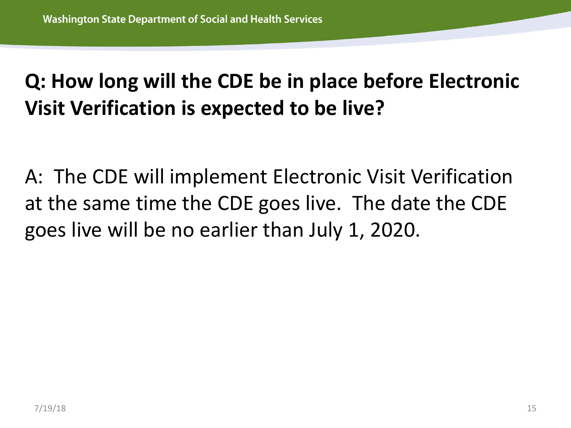#### **Q: How long will the CDE be in place before Electronic Visit Verification is expected to be live?**

A: The CDE will implement Electronic Visit Verification at the same time the CDE goes live. The date the CDE goes live will be no earlier than July 1, 2020.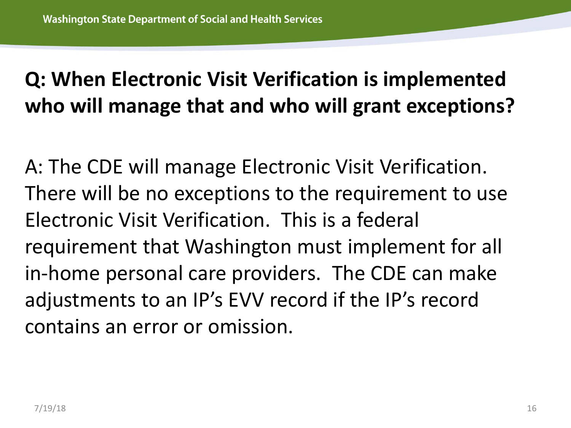#### **Q: When Electronic Visit Verification is implemented who will manage that and who will grant exceptions?**

A: The CDE will manage Electronic Visit Verification. There will be no exceptions to the requirement to use Electronic Visit Verification. This is a federal requirement that Washington must implement for all in-home personal care providers. The CDE can make adjustments to an IP's EVV record if the IP's record contains an error or omission.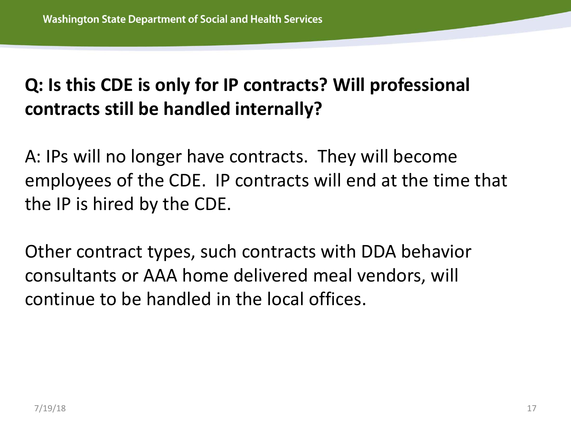#### **Q: Is this CDE is only for IP contracts? Will professional contracts still be handled internally?**

A: IPs will no longer have contracts. They will become employees of the CDE. IP contracts will end at the time that the IP is hired by the CDE.

Other contract types, such contracts with DDA behavior consultants or AAA home delivered meal vendors, will continue to be handled in the local offices.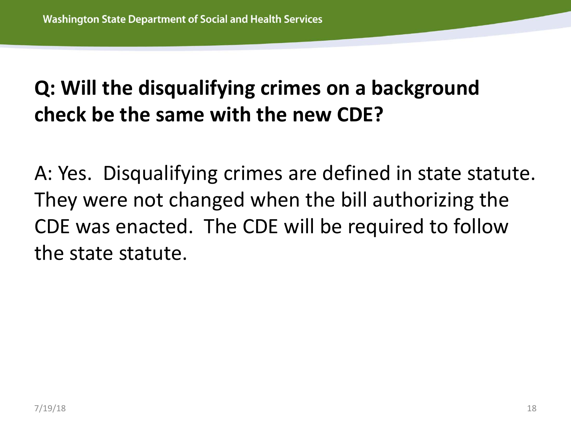#### **Q: Will the disqualifying crimes on a background check be the same with the new CDE?**

A: Yes. Disqualifying crimes are defined in state statute. They were not changed when the bill authorizing the CDE was enacted. The CDE will be required to follow the state statute.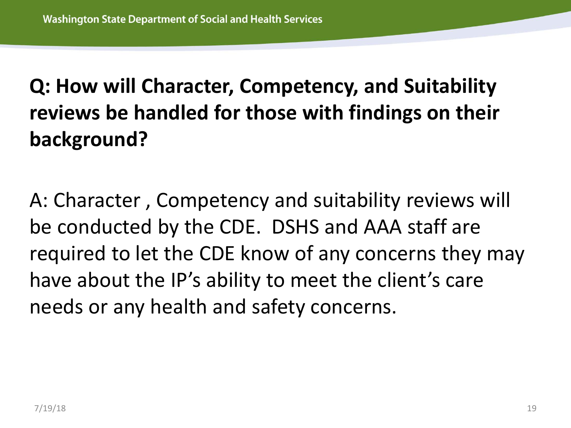#### **Q: How will Character, Competency, and Suitability reviews be handled for those with findings on their background?**

A: Character , Competency and suitability reviews will be conducted by the CDE. DSHS and AAA staff are required to let the CDE know of any concerns they may have about the IP's ability to meet the client's care needs or any health and safety concerns.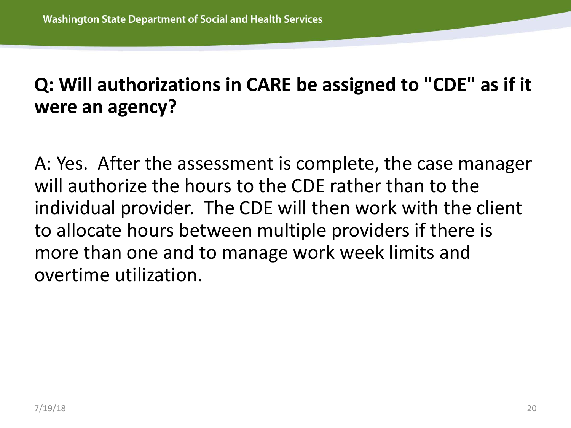#### **Q: Will authorizations in CARE be assigned to "CDE" as if it were an agency?**

A: Yes. After the assessment is complete, the case manager will authorize the hours to the CDE rather than to the individual provider. The CDE will then work with the client to allocate hours between multiple providers if there is more than one and to manage work week limits and overtime utilization.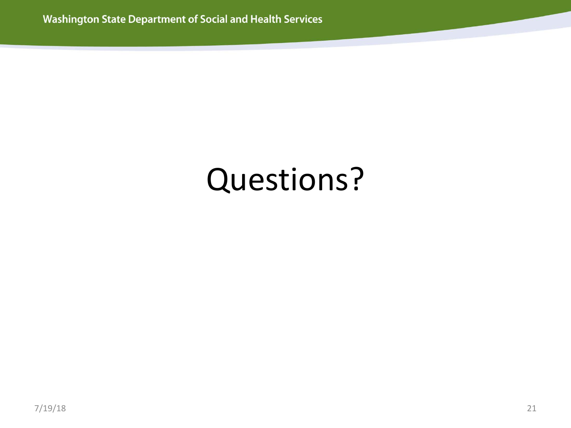### Questions?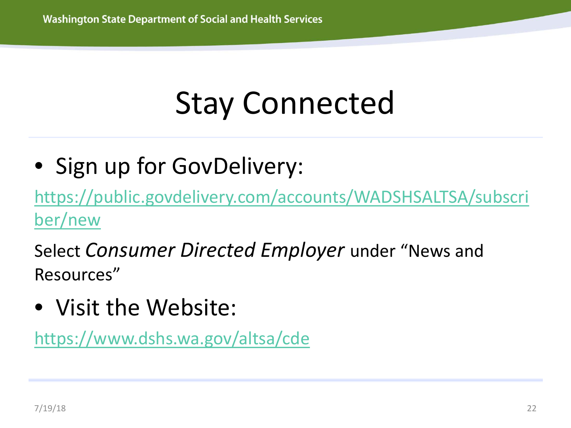### Stay Connected

• Sign up for GovDelivery:

[https://public.govdelivery.com/accounts/WADSHSALTSA/subscri](https://public.govdelivery.com/accounts/WADSHSALTSA/subscriber/new) ber/new

Select *Consumer Directed Employer* under "News and Resources"

• Visit the Website:

<https://www.dshs.wa.gov/altsa/cde>